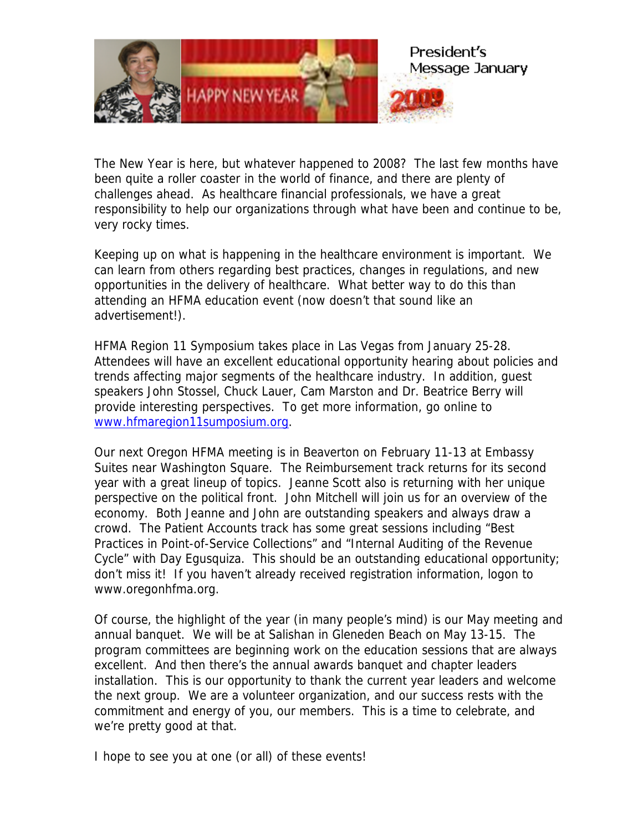

The New Year is here, but whatever happened to 2008? The last few months have been quite a roller coaster in the world of finance, and there are plenty of challenges ahead. As healthcare financial professionals, we have a great responsibility to help our organizations through what have been and continue to be, very rocky times.

Keeping up on what is happening in the healthcare environment is important. We can learn from others regarding best practices, changes in regulations, and new opportunities in the delivery of healthcare. What better way to do this than attending an HFMA education event (now doesn't that sound like an advertisement!).

HFMA Region 11 Symposium takes place in Las Vegas from January 25-28. Attendees will have an excellent educational opportunity hearing about policies and trends affecting major segments of the healthcare industry. In addition, guest speakers John Stossel, Chuck Lauer, Cam Marston and Dr. Beatrice Berry will provide interesting perspectives. To get more information, go online to [www.hfmaregion11sumposium.org.](http://www.hfmaregion11sumposium.org/)

Our next Oregon HFMA meeting is in Beaverton on February 11-13 at Embassy Suites near Washington Square. The Reimbursement track returns for its second year with a great lineup of topics. Jeanne Scott also is returning with her unique perspective on the political front. John Mitchell will join us for an overview of the economy. Both Jeanne and John are outstanding speakers and always draw a crowd. The Patient Accounts track has some great sessions including "Best Practices in Point-of-Service Collections" and "Internal Auditing of the Revenue Cycle" with Day Egusquiza. This should be an outstanding educational opportunity; don't miss it! If you haven't already received registration information, logon to www.oregonhfma.org.

Of course, the highlight of the year (in many people's mind) is our May meeting and annual banquet. We will be at Salishan in Gleneden Beach on May 13-15. The program committees are beginning work on the education sessions that are always excellent. And then there's the annual awards banquet and chapter leaders installation. This is our opportunity to thank the current year leaders and welcome the next group. We are a volunteer organization, and our success rests with the commitment and energy of you, our members. This is a time to celebrate, and we're pretty good at that.

I hope to see you at one (or all) of these events!